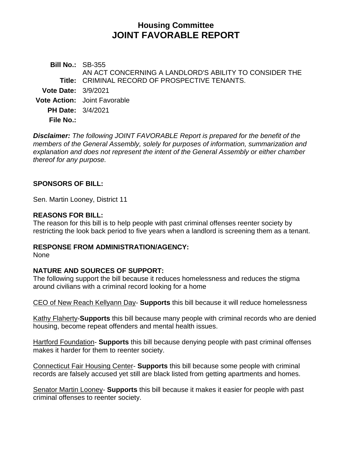# **Housing Committee JOINT FAVORABLE REPORT**

**Bill No.:** SB-355 **Title:** CRIMINAL RECORD OF PROSPECTIVE TENANTS. AN ACT CONCERNING A LANDLORD'S ABILITY TO CONSIDER THE **Vote Date:** 3/9/2021 **Vote Action:** Joint Favorable **PH Date:** 3/4/2021 **File No.:**

*Disclaimer: The following JOINT FAVORABLE Report is prepared for the benefit of the members of the General Assembly, solely for purposes of information, summarization and explanation and does not represent the intent of the General Assembly or either chamber thereof for any purpose.*

### **SPONSORS OF BILL:**

Sen. Martin Looney, District 11

### **REASONS FOR BILL:**

The reason for this bill is to help people with past criminal offenses reenter society by restricting the look back period to five years when a landlord is screening them as a tenant.

### **RESPONSE FROM ADMINISTRATION/AGENCY:**

None

### **NATURE AND SOURCES OF SUPPORT:**

The following support the bill because it reduces homelessness and reduces the stigma around civilians with a criminal record looking for a home

CEO of New Reach Kellyann Day- **Supports** this bill because it will reduce homelessness

Kathy Flaherty-**Supports** this bill because many people with criminal records who are denied housing, become repeat offenders and mental health issues.

Hartford Foundation- **Supports** this bill because denying people with past criminal offenses makes it harder for them to reenter society.

Connecticut Fair Housing Center- **Supports** this bill because some people with criminal records are falsely accused yet still are black listed from getting apartments and homes.

Senator Martin Looney- **Supports** this bill because it makes it easier for people with past criminal offenses to reenter society.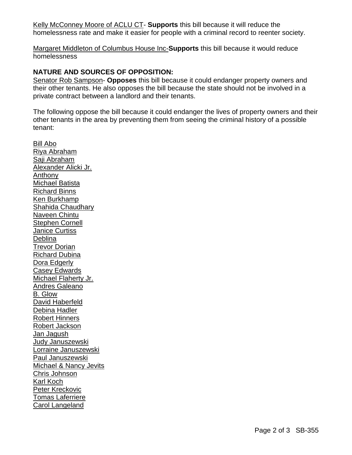Kelly McConney Moore of ACLU CT- **Supports** this bill because it will reduce the homelessness rate and make it easier for people with a criminal record to reenter society.

Margaret Middleton of Columbus House Inc-**Supports** this bill because it would reduce homelessness

## **NATURE AND SOURCES OF OPPOSITION:**

Senator Rob Sampson- **Opposes** this bill because it could endanger property owners and their other tenants. He also opposes the bill because the state should not be involved in a private contract between a landlord and their tenants.

The following oppose the bill because it could endanger the lives of property owners and their other tenants in the area by preventing them from seeing the criminal history of a possible tenant:

Bill Abo Riya Abraham Saji Abraham Alexander Alicki Jr. Anthony Michael Batista Richard Binns Ken Burkhamp Shahida Chaudhary Naveen Chintu Stephen Cornell Janice Curtiss **Deblina** Trevor Dorian Richard Dubina Dora Edgerly Casey Edwards Michael Flaherty Jr. Andres Galeano B. Glow David Haberfeld Debina Hadler Robert Hinners Robert Jackson Jan Jagush Judy Januszewski Lorraine Januszewski Paul Januszewski Michael & Nancy Jevits Chris Johnson Karl Koch Peter Kreckovic Tomas Laferriere Carol Langeland